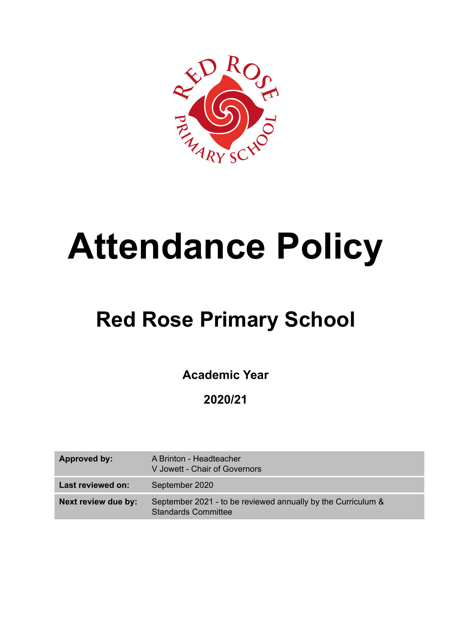

# **Attendance Policy**

# **Red Rose Primary School**

**Academic Year**

**2020/21**

| Approved by:        | A Brinton - Headteacher<br>V Jowett - Chair of Governors                                   |
|---------------------|--------------------------------------------------------------------------------------------|
| Last reviewed on:   | September 2020                                                                             |
| Next review due by: | September 2021 - to be reviewed annually by the Curriculum &<br><b>Standards Committee</b> |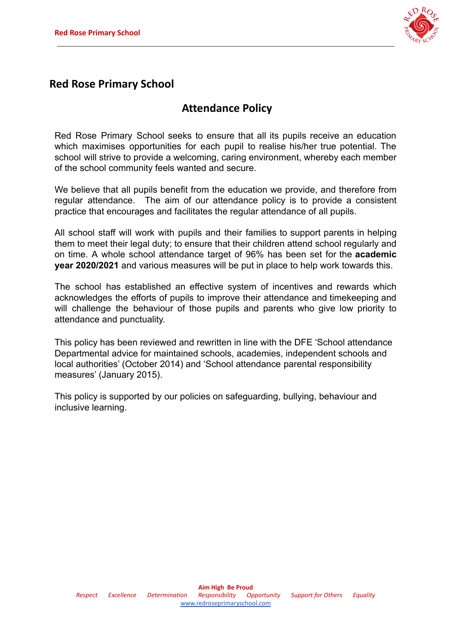

# **Red Rose Primary School**

## **Attendance Policy**

Red Rose Primary School seeks to ensure that all its pupils receive an education which maximises opportunities for each pupil to realise his/her true potential. The school will strive to provide a welcoming, caring environment, whereby each member of the school community feels wanted and secure.

We believe that all pupils benefit from the education we provide, and therefore from regular attendance. The aim of our attendance policy is to provide a consistent practice that encourages and facilitates the regular attendance of all pupils.

All school staff will work with pupils and their families to support parents in helping them to meet their legal duty; to ensure that their children attend school regularly and on time. A whole school attendance target of 96% has been set for the **academic year 2020/2021** and various measures will be put in place to help work towards this.

The school has established an effective system of incentives and rewards which acknowledges the efforts of pupils to improve their attendance and timekeeping and will challenge the behaviour of those pupils and parents who give low priority to attendance and punctuality.

This policy has been reviewed and rewritten in line with the DFE 'School attendance Departmental advice for maintained schools, academies, independent schools and local authorities' (October 2014) and 'School attendance parental responsibility measures' (January 2015).

This policy is supported by our policies on safeguarding, bullying, behaviour and inclusive learning.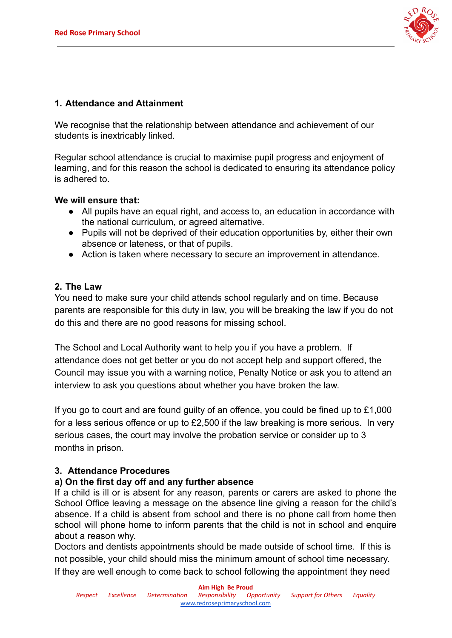

#### **1. Attendance and Attainment**

We recognise that the relationship between attendance and achievement of our students is inextricably linked.

Regular school attendance is crucial to maximise pupil progress and enjoyment of learning, and for this reason the school is dedicated to ensuring its attendance policy is adhered to.

#### **We will ensure that:**

- All pupils have an equal right, and access to, an education in accordance with the national curriculum, or agreed alternative.
- Pupils will not be deprived of their education opportunities by, either their own absence or lateness, or that of pupils.
- Action is taken where necessary to secure an improvement in attendance.

#### **2. The Law**

You need to make sure your child attends school regularly and on time. Because parents are responsible for this duty in law, you will be breaking the law if you do not do this and there are no good reasons for missing school.

The School and Local Authority want to help you if you have a problem. If attendance does not get better or you do not accept help and support offered, the Council may issue you with a warning notice, Penalty Notice or ask you to attend an interview to ask you questions about whether you have broken the law.

If you go to court and are found guilty of an offence, you could be fined up to £1,000 for a less serious offence or up to £2,500 if the law breaking is more serious. In very serious cases, the court may involve the probation service or consider up to 3 months in prison.

#### **3. Attendance Procedures**

#### **a) On the first day off and any further absence**

If a child is ill or is absent for any reason, parents or carers are asked to phone the School Office leaving a message on the absence line giving a reason for the child's absence. If a child is absent from school and there is no phone call from home then school will phone home to inform parents that the child is not in school and enquire about a reason why.

Doctors and dentists appointments should be made outside of school time. If this is not possible, your child should miss the minimum amount of school time necessary. If they are well enough to come back to school following the appointment they need

**Aim High Be Proud**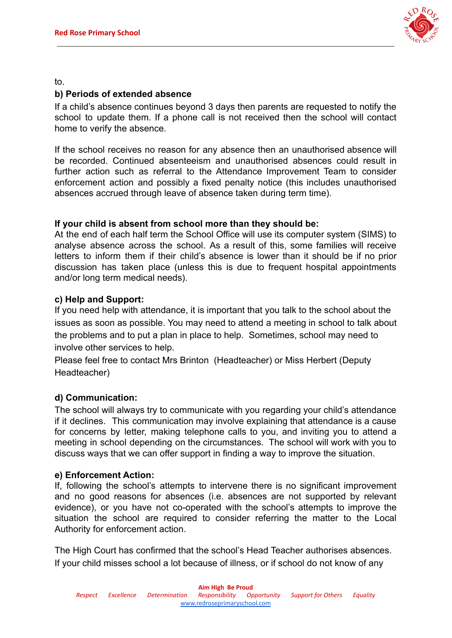

to.

#### **b) Periods of extended absence**

If a child's absence continues beyond 3 days then parents are requested to notify the school to update them. If a phone call is not received then the school will contact home to verify the absence.

If the school receives no reason for any absence then an unauthorised absence will be recorded. Continued absenteeism and unauthorised absences could result in further action such as referral to the Attendance Improvement Team to consider enforcement action and possibly a fixed penalty notice (this includes unauthorised absences accrued through leave of absence taken during term time).

#### **If your child is absent from school more than they should be:**

At the end of each half term the School Office will use its computer system (SIMS) to analyse absence across the school. As a result of this, some families will receive letters to inform them if their child's absence is lower than it should be if no prior discussion has taken place (unless this is due to frequent hospital appointments and/or long term medical needs).

#### **c) Help and Support:**

If you need help with attendance, it is important that you talk to the school about the issues as soon as possible. You may need to attend a meeting in school to talk about the problems and to put a plan in place to help. Sometimes, school may need to involve other services to help.

Please feel free to contact Mrs Brinton (Headteacher) or Miss Herbert (Deputy Headteacher)

#### **d) Communication:**

The school will always try to communicate with you regarding your child's attendance if it declines. This communication may involve explaining that attendance is a cause for concerns by letter, making telephone calls to you, and inviting you to attend a meeting in school depending on the circumstances. The school will work with you to discuss ways that we can offer support in finding a way to improve the situation.

#### **e) Enforcement Action:**

If, following the school's attempts to intervene there is no significant improvement and no good reasons for absences (i.e. absences are not supported by relevant evidence), or you have not co-operated with the school's attempts to improve the situation the school are required to consider referring the matter to the Local Authority for enforcement action.

The High Court has confirmed that the school's Head Teacher authorises absences. If your child misses school a lot because of illness, or if school do not know of any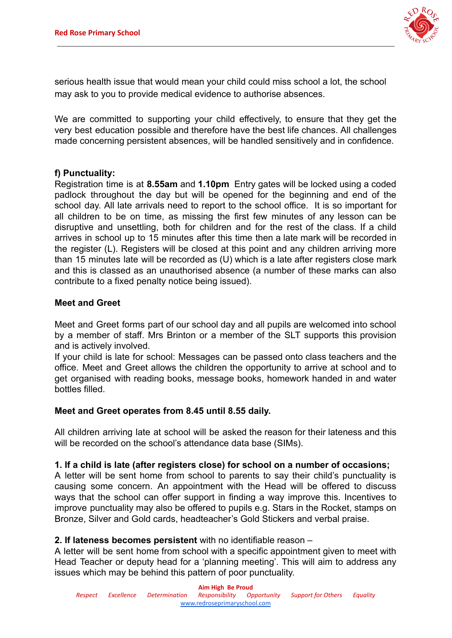

serious health issue that would mean your child could miss school a lot, the school may ask to you to provide medical evidence to authorise absences.

We are committed to supporting your child effectively, to ensure that they get the very best education possible and therefore have the best life chances. All challenges made concerning persistent absences, will be handled sensitively and in confidence.

#### **f) Punctuality:**

Registration time is at **8.55am** and **1.10pm** Entry gates will be locked using a coded padlock throughout the day but will be opened for the beginning and end of the school day. All late arrivals need to report to the school office. It is so important for all children to be on time, as missing the first few minutes of any lesson can be disruptive and unsettling, both for children and for the rest of the class. If a child arrives in school up to 15 minutes after this time then a late mark will be recorded in the register (L). Registers will be closed at this point and any children arriving more than 15 minutes late will be recorded as (U) which is a late after registers close mark and this is classed as an unauthorised absence (a number of these marks can also contribute to a fixed penalty notice being issued).

#### **Meet and Greet**

Meet and Greet forms part of our school day and all pupils are welcomed into school by a member of staff. Mrs Brinton or a member of the SLT supports this provision and is actively involved.

If your child is late for school: Messages can be passed onto class teachers and the office. Meet and Greet allows the children the opportunity to arrive at school and to get organised with reading books, message books, homework handed in and water bottles filled.

#### **Meet and Greet operates from 8.45 until 8.55 daily.**

All children arriving late at school will be asked the reason for their lateness and this will be recorded on the school's attendance data base (SIMs).

#### **1. If a child is late (after registers close) for school on a number of occasions;**

A letter will be sent home from school to parents to say their child's punctuality is causing some concern. An appointment with the Head will be offered to discuss ways that the school can offer support in finding a way improve this. Incentives to improve punctuality may also be offered to pupils e.g. Stars in the Rocket, stamps on Bronze, Silver and Gold cards, headteacher's Gold Stickers and verbal praise.

#### **2. If lateness becomes persistent** with no identifiable reason –

A letter will be sent home from school with a specific appointment given to meet with Head Teacher or deputy head for a 'planning meeting'. This will aim to address any issues which may be behind this pattern of poor punctuality.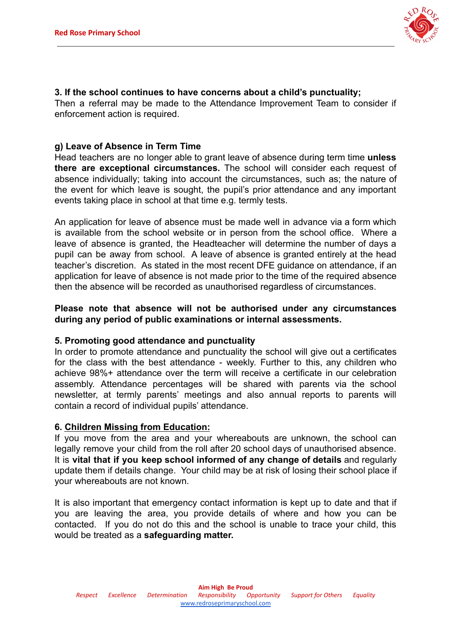

#### **3. If the school continues to have concerns about a child's punctuality;**

Then a referral may be made to the Attendance Improvement Team to consider if enforcement action is required.

#### **g) Leave of Absence in Term Time**

Head teachers are no longer able to grant leave of absence during term time **unless there are exceptional circumstances.** The school will consider each request of absence individually; taking into account the circumstances, such as; the nature of the event for which leave is sought, the pupil's prior attendance and any important events taking place in school at that time e.g. termly tests.

An application for leave of absence must be made well in advance via a form which is available from the school website or in person from the school office. Where a leave of absence is granted, the Headteacher will determine the number of days a pupil can be away from school. A leave of absence is granted entirely at the head teacher's discretion. As stated in the most recent DFE guidance on attendance, if an application for leave of absence is not made prior to the time of the required absence then the absence will be recorded as unauthorised regardless of circumstances.

#### **Please note that absence will not be authorised under any circumstances during any period of public examinations or internal assessments.**

#### **5. Promoting good attendance and punctuality**

In order to promote attendance and punctuality the school will give out a certificates for the class with the best attendance - weekly. Further to this, any children who achieve 98%+ attendance over the term will receive a certificate in our celebration assembly. Attendance percentages will be shared with parents via the school newsletter, at termly parents' meetings and also annual reports to parents will contain a record of individual pupils' attendance.

#### **6. Children Missing from Education:**

If you move from the area and your whereabouts are unknown, the school can legally remove your child from the roll after 20 school days of unauthorised absence. It is **vital that if you keep school informed of any change of details** and regularly update them if details change. Your child may be at risk of losing their school place if your whereabouts are not known.

It is also important that emergency contact information is kept up to date and that if you are leaving the area, you provide details of where and how you can be contacted. If you do not do this and the school is unable to trace your child, this would be treated as a **safeguarding matter.**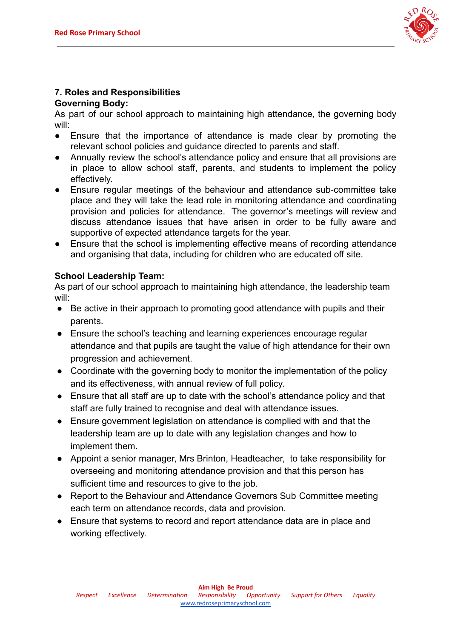

### **7. Roles and Responsibilities**

#### **Governing Body:**

As part of our school approach to maintaining high attendance, the governing body will:

- Ensure that the importance of attendance is made clear by promoting the relevant school policies and guidance directed to parents and staff.
- Annually review the school's attendance policy and ensure that all provisions are in place to allow school staff, parents, and students to implement the policy effectively.
- Ensure regular meetings of the behaviour and attendance sub-committee take place and they will take the lead role in monitoring attendance and coordinating provision and policies for attendance. The governor's meetings will review and discuss attendance issues that have arisen in order to be fully aware and supportive of expected attendance targets for the year.
- Ensure that the school is implementing effective means of recording attendance and organising that data, including for children who are educated off site.

#### **School Leadership Team:**

As part of our school approach to maintaining high attendance, the leadership team will:

- Be active in their approach to promoting good attendance with pupils and their parents.
- Ensure the school's teaching and learning experiences encourage regular attendance and that pupils are taught the value of high attendance for their own progression and achievement.
- Coordinate with the governing body to monitor the implementation of the policy and its effectiveness, with annual review of full policy.
- Ensure that all staff are up to date with the school's attendance policy and that staff are fully trained to recognise and deal with attendance issues.
- Ensure government legislation on attendance is complied with and that the leadership team are up to date with any legislation changes and how to implement them.
- Appoint a senior manager, Mrs Brinton, Headteacher, to take responsibility for overseeing and monitoring attendance provision and that this person has sufficient time and resources to give to the job.
- Report to the Behaviour and Attendance Governors Sub Committee meeting each term on attendance records, data and provision.
- Ensure that systems to record and report attendance data are in place and working effectively.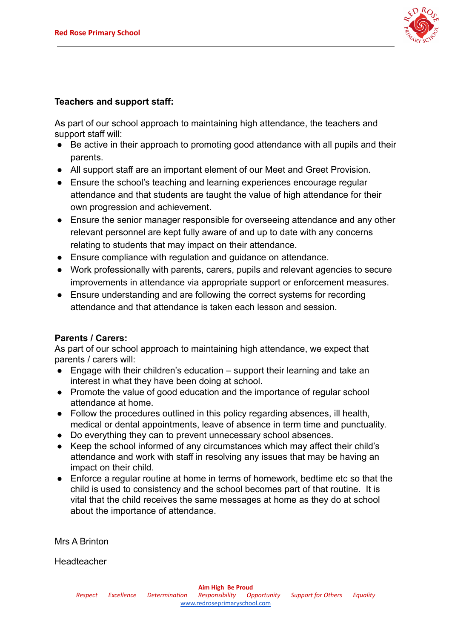

#### **Teachers and support staff:**

As part of our school approach to maintaining high attendance, the teachers and support staff will:

- Be active in their approach to promoting good attendance with all pupils and their parents.
- All support staff are an important element of our Meet and Greet Provision.
- Ensure the school's teaching and learning experiences encourage regular attendance and that students are taught the value of high attendance for their own progression and achievement.
- Ensure the senior manager responsible for overseeing attendance and any other relevant personnel are kept fully aware of and up to date with any concerns relating to students that may impact on their attendance.
- Ensure compliance with regulation and guidance on attendance.
- Work professionally with parents, carers, pupils and relevant agencies to secure improvements in attendance via appropriate support or enforcement measures.
- Ensure understanding and are following the correct systems for recording attendance and that attendance is taken each lesson and session.

#### **Parents / Carers:**

As part of our school approach to maintaining high attendance, we expect that parents / carers will:

- $\bullet$  Engage with their children's education support their learning and take an interest in what they have been doing at school.
- Promote the value of good education and the importance of regular school attendance at home.
- Follow the procedures outlined in this policy regarding absences, ill health, medical or dental appointments, leave of absence in term time and punctuality.
- Do everything they can to prevent unnecessary school absences.
- Keep the school informed of any circumstances which may affect their child's attendance and work with staff in resolving any issues that may be having an impact on their child.
- Enforce a regular routine at home in terms of homework, bedtime etc so that the child is used to consistency and the school becomes part of that routine. It is vital that the child receives the same messages at home as they do at school about the importance of attendance.

Mrs A Brinton

**Headteacher**